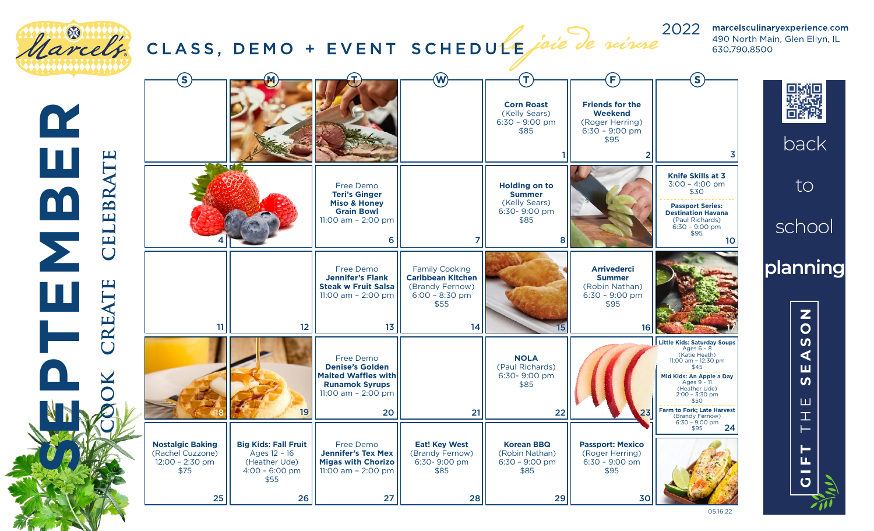

05.16.22